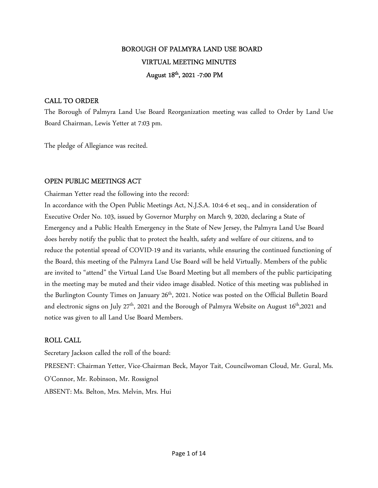# BOROUGH OF PALMYRA LAND USE BOARD VIRTUAL MEETING MINUTES August 18<sup>th</sup>, 2021 -7:00 PM

## CALL TO ORDER

The Borough of Palmyra Land Use Board Reorganization meeting was called to Order by Land Use Board Chairman, Lewis Yetter at 7:03 pm.

The pledge of Allegiance was recited.

## OPEN PUBLIC MEETINGS ACT

Chairman Yetter read the following into the record:

In accordance with the Open Public Meetings Act, N.J.S.A. 10:4-6 et seq., and in consideration of Executive Order No. 103, issued by Governor Murphy on March 9, 2020, declaring a State of Emergency and a Public Health Emergency in the State of New Jersey, the Palmyra Land Use Board does hereby notify the public that to protect the health, safety and welfare of our citizens, and to reduce the potential spread of COVID-19 and its variants, while ensuring the continued functioning of the Board, this meeting of the Palmyra Land Use Board will be held Virtually. Members of the public are invited to "attend" the Virtual Land Use Board Meeting but all members of the public participating in the meeting may be muted and their video image disabled. Notice of this meeting was published in the Burlington County Times on January 26<sup>th</sup>, 2021. Notice was posted on the Official Bulletin Board and electronic signs on July 27<sup>th</sup>, 2021 and the Borough of Palmyra Website on August 16<sup>th</sup>,2021 and notice was given to all Land Use Board Members.

## ROLL CALL

Secretary Jackson called the roll of the board: PRESENT: Chairman Yetter, Vice-Chairman Beck, Mayor Tait, Councilwoman Cloud, Mr. Gural, Ms. O'Connor, Mr. Robinson, Mr. Rossignol ABSENT: Ms. Belton, Mrs. Melvin, Mrs. Hui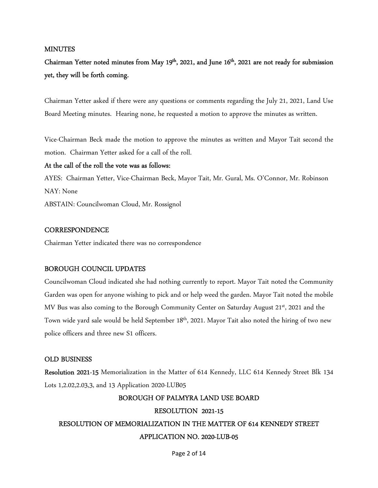## **MINUTES**

# Chairman Yetter noted minutes from May 19<sup>th</sup>, 2021, and June 16<sup>th</sup>, 2021 are not ready for submission yet, they will be forth coming.

Chairman Yetter asked if there were any questions or comments regarding the July 21, 2021, Land Use Board Meeting minutes. Hearing none, he requested a motion to approve the minutes as written.

Vice-Chairman Beck made the motion to approve the minutes as written and Mayor Tait second the motion. Chairman Yetter asked for a call of the roll.

## At the call of the roll the vote was as follows:

AYES: Chairman Yetter, Vice-Chairman Beck, Mayor Tait, Mr. Gural, Ms. O'Connor, Mr. Robinson NAY: None ABSTAIN: Councilwoman Cloud, Mr. Rossignol

## **CORRESPONDENCE**

Chairman Yetter indicated there was no correspondence

## BOROUGH COUNCIL UPDATES

Councilwoman Cloud indicated she had nothing currently to report. Mayor Tait noted the Community Garden was open for anyone wishing to pick and or help weed the garden. Mayor Tait noted the mobile MV Bus was also coming to the Borough Community Center on Saturday August 21<sup>st</sup>, 2021 and the Town wide yard sale would be held September 18<sup>th</sup>, 2021. Mayor Tait also noted the hiring of two new police officers and three new S1 officers.

## OLD BUSINESS

Resolution 2021-15 Memorialization in the Matter of 614 Kennedy, LLC 614 Kennedy Street Blk 134 Lots 1,2.02,2.03,3, and 13 Application 2020-LUB05

## BOROUGH OF PALMYRA LAND USE BOARD

#### RESOLUTION 2021-15

# RESOLUTION OF MEMORIALIZATION IN THE MATTER OF 614 KENNEDY STREET APPLICATION NO. 2020-LUB-05

#### Page 2 of 14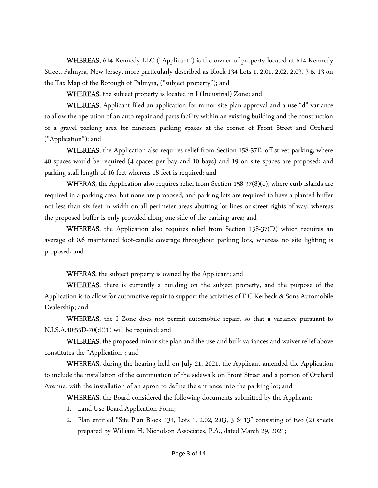WHEREAS, 614 Kennedy LLC ("Applicant") is the owner of property located at 614 Kennedy Street, Palmyra, New Jersey, more particularly described as Block 134 Lots 1, 2.01, 2.02, 2.03, 3 & 13 on the Tax Map of the Borough of Palmyra, ("subject property"); and

WHEREAS, the subject property is located in I (Industrial) Zone; and

WHEREAS, Applicant filed an application for minor site plan approval and a use "d" variance to allow the operation of an auto repair and parts facility within an existing building and the construction of a gravel parking area for nineteen parking spaces at the corner of Front Street and Orchard ("Application"); and

WHEREAS, the Application also requires relief from Section 158-37E, off street parking, where 40 spaces would be required (4 spaces per bay and 10 bays) and 19 on site spaces are proposed; and parking stall length of 16 feet whereas 18 feet is required; and

**WHERAS**, the Application also requires relief from Section 158-37( $8$ )(c), where curb islands are required in a parking area, but none are proposed, and parking lots are required to have a planted buffer not less than six feet in width on all perimeter areas abutting lot lines or street rights of way, whereas the proposed buffer is only provided along one side of the parking area; and

WHEREAS, the Application also requires relief from Section 158-37(D) which requires an average of 0.6 maintained foot-candle coverage throughout parking lots, whereas no site lighting is proposed; and

WHERAS, the subject property is owned by the Applicant; and

WHEREAS, there is currently a building on the subject property, and the purpose of the Application is to allow for automotive repair to support the activities of F C Kerbeck & Sons Automobile Dealership; and

WHEREAS, the I Zone does not permit automobile repair, so that a variance pursuant to N.J.S.A.40:55D-70 $(d)(1)$  will be required; and

WHEREAS, the proposed minor site plan and the use and bulk variances and waiver relief above constitutes the "Application"; and

WHEREAS, during the hearing held on July 21, 2021, the Applicant amended the Application to include the installation of the continuation of the sidewalk on Front Street and a portion of Orchard Avenue, with the installation of an apron to define the entrance into the parking lot; and

WHEREAS, the Board considered the following documents submitted by the Applicant:

- 1. Land Use Board Application Form;
- 2. Plan entitled "Site Plan Block 134, Lots 1, 2.02, 2.03, 3 & 13" consisting of two (2) sheets prepared by William H. Nicholson Associates, P.A., dated March 29, 2021;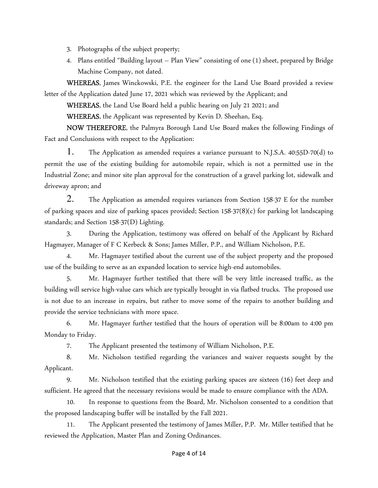- 3. Photographs of the subject property;
- 4. Plans entitled "Building layout Plan View" consisting of one (1) sheet, prepared by Bridge Machine Company, not dated.

WHEREAS, James Winckowski, P.E. the engineer for the Land Use Board provided a review letter of the Application dated June 17, 2021 which was reviewed by the Applicant; and

WHEREAS, the Land Use Board held a public hearing on July 21 2021; and

WHEREAS, the Applicant was represented by Kevin D. Sheehan, Esq.

NOW THEREFORE, the Palmyra Borough Land Use Board makes the following Findings of Fact and Conclusions with respect to the Application:

1. The Application as amended requires a variance pursuant to N.J.S.A. 40:55D-70(d) to permit the use of the existing building for automobile repair, which is not a permitted use in the Industrial Zone; and minor site plan approval for the construction of a gravel parking lot, sidewalk and driveway apron; and

2. The Application as amended requires variances from Section 158-37 E for the number of parking spaces and size of parking spaces provided; Section 158-37(8)(c) for parking lot landscaping standards; and Section 158-37(D) Lighting.

3. During the Application, testimony was offered on behalf of the Applicant by Richard Hagmayer, Manager of F C Kerbeck & Sons; James Miller, P.P., and William Nicholson, P.E.

4. Mr. Hagmayer testified about the current use of the subject property and the proposed use of the building to serve as an expanded location to service high-end automobiles.

5. Mr. Hagmayer further testified that there will be very little increased traffic, as the building will service high-value cars which are typically brought in via flatbed trucks. The proposed use is not due to an increase in repairs, but rather to move some of the repairs to another building and provide the service technicians with more space.

 6. Mr. Hagmayer further testified that the hours of operation will be 8:00am to 4:00 pm Monday to Friday.

7. The Applicant presented the testimony of William Nicholson, P.E.

8. Mr. Nicholson testified regarding the variances and waiver requests sought by the Applicant.

9. Mr. Nicholson testified that the existing parking spaces are sixteen (16) feet deep and sufficient. He agreed that the necessary revisions would be made to ensure compliance with the ADA.

10. In response to questions from the Board, Mr. Nicholson consented to a condition that the proposed landscaping buffer will be installed by the Fall 2021.

The Applicant presented the testimony of James Miller, P.P. Mr. Miller testified that he reviewed the Application, Master Plan and Zoning Ordinances.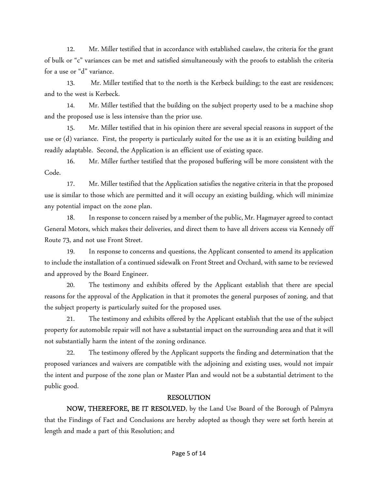12. Mr. Miller testified that in accordance with established caselaw, the criteria for the grant of bulk or "c" variances can be met and satisfied simultaneously with the proofs to establish the criteria for a use or "d" variance.

13. Mr. Miller testified that to the north is the Kerbeck building; to the east are residences; and to the west is Kerbeck.

14. Mr. Miller testified that the building on the subject property used to be a machine shop and the proposed use is less intensive than the prior use.

15. Mr. Miller testified that in his opinion there are several special reasons in support of the use or (d) variance. First, the property is particularly suited for the use as it is an existing building and readily adaptable. Second, the Application is an efficient use of existing space.

16. Mr. Miller further testified that the proposed buffering will be more consistent with the Code.

17. Mr. Miller testified that the Application satisfies the negative criteria in that the proposed use is similar to those which are permitted and it will occupy an existing building, which will minimize any potential impact on the zone plan.

18. In response to concern raised by a member of the public, Mr. Hagmayer agreed to contact General Motors, which makes their deliveries, and direct them to have all drivers access via Kennedy off Route 73, and not use Front Street.

19. In response to concerns and questions, the Applicant consented to amend its application to include the installation of a continued sidewalk on Front Street and Orchard, with same to be reviewed and approved by the Board Engineer.

 20. The testimony and exhibits offered by the Applicant establish that there are special reasons for the approval of the Application in that it promotes the general purposes of zoning, and that the subject property is particularly suited for the proposed uses.

 21. The testimony and exhibits offered by the Applicant establish that the use of the subject property for automobile repair will not have a substantial impact on the surrounding area and that it will not substantially harm the intent of the zoning ordinance.

22. The testimony offered by the Applicant supports the finding and determination that the proposed variances and waivers are compatible with the adjoining and existing uses, would not impair the intent and purpose of the zone plan or Master Plan and would not be a substantial detriment to the public good.

# RESOLUTION

NOW, THEREFORE, BE IT RESOLVED, by the Land Use Board of the Borough of Palmyra that the Findings of Fact and Conclusions are hereby adopted as though they were set forth herein at length and made a part of this Resolution; and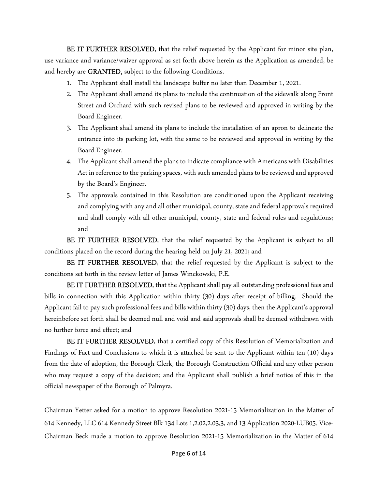BE IT FURTHER RESOLVED, that the relief requested by the Applicant for minor site plan, use variance and variance/waiver approval as set forth above herein as the Application as amended, be and hereby are GRANTED, subject to the following Conditions.

- 1. The Applicant shall install the landscape buffer no later than December 1, 2021.
- 2. The Applicant shall amend its plans to include the continuation of the sidewalk along Front Street and Orchard with such revised plans to be reviewed and approved in writing by the Board Engineer.
- 3. The Applicant shall amend its plans to include the installation of an apron to delineate the entrance into its parking lot, with the same to be reviewed and approved in writing by the Board Engineer.
- 4. The Applicant shall amend the plans to indicate compliance with Americans with Disabilities Act in reference to the parking spaces, with such amended plans to be reviewed and approved by the Board's Engineer.
- 5. The approvals contained in this Resolution are conditioned upon the Applicant receiving and complying with any and all other municipal, county, state and federal approvals required and shall comply with all other municipal, county, state and federal rules and regulations; and

BE IT FURTHER RESOLVED, that the relief requested by the Applicant is subject to all conditions placed on the record during the hearing held on July 21, 2021; and

BE IT FURTHER RESOLVED, that the relief requested by the Applicant is subject to the conditions set forth in the review letter of James Winckowski, P.E.

BE IT FURTHER RESOLVED, that the Applicant shall pay all outstanding professional fees and bills in connection with this Application within thirty (30) days after receipt of billing. Should the Applicant fail to pay such professional fees and bills within thirty (30) days, then the Applicant's approval hereinbefore set forth shall be deemed null and void and said approvals shall be deemed withdrawn with no further force and effect; and

BE IT FURTHER RESOLVED, that a certified copy of this Resolution of Memorialization and Findings of Fact and Conclusions to which it is attached be sent to the Applicant within ten (10) days from the date of adoption, the Borough Clerk, the Borough Construction Official and any other person who may request a copy of the decision; and the Applicant shall publish a brief notice of this in the official newspaper of the Borough of Palmyra.

Chairman Yetter asked for a motion to approve Resolution 2021-15 Memorialization in the Matter of 614 Kennedy, LLC 614 Kennedy Street Blk 134 Lots 1,2.02,2.03,3, and 13 Application 2020-LUB05. Vice-Chairman Beck made a motion to approve Resolution 2021-15 Memorialization in the Matter of 614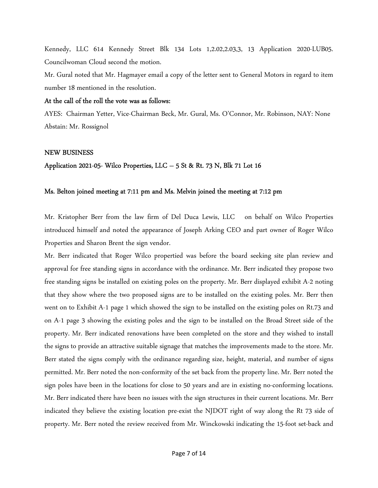Kennedy, LLC 614 Kennedy Street Blk 134 Lots 1,2.02,2.03,3, 13 Application 2020-LUB05. Councilwoman Cloud second the motion.

Mr. Gural noted that Mr. Hagmayer email a copy of the letter sent to General Motors in regard to item number 18 mentioned in the resolution.

## At the call of the roll the vote was as follows:

AYES: Chairman Yetter, Vice-Chairman Beck, Mr. Gural, Ms. O'Connor, Mr. Robinson, NAY: None Abstain: Mr. Rossignol

## NEW BUSINESS

## Application 2021-05- Wilco Properties, LLC – 5 St & Rt. 73 N, Blk 71 Lot 16

## Ms. Belton joined meeting at 7:11 pm and Ms. Melvin joined the meeting at 7:12 pm

Mr. Kristopher Berr from the law firm of Del Duca Lewis, LLC on behalf on Wilco Properties introduced himself and noted the appearance of Joseph Arking CEO and part owner of Roger Wilco Properties and Sharon Brent the sign vendor.

Mr. Berr indicated that Roger Wilco propertied was before the board seeking site plan review and approval for free standing signs in accordance with the ordinance. Mr. Berr indicated they propose two free standing signs be installed on existing poles on the property. Mr. Berr displayed exhibit A-2 noting that they show where the two proposed signs are to be installed on the existing poles. Mr. Berr then went on to Exhibit A-1 page 1 which showed the sign to be installed on the existing poles on Rt.73 and on A-1 page 3 showing the existing poles and the sign to be installed on the Broad Street side of the property. Mr. Berr indicated renovations have been completed on the store and they wished to install the signs to provide an attractive suitable signage that matches the improvements made to the store. Mr. Berr stated the signs comply with the ordinance regarding size, height, material, and number of signs permitted. Mr. Berr noted the non-conformity of the set back from the property line. Mr. Berr noted the sign poles have been in the locations for close to 50 years and are in existing no-conforming locations. Mr. Berr indicated there have been no issues with the sign structures in their current locations. Mr. Berr indicated they believe the existing location pre-exist the NJDOT right of way along the Rt 73 side of property. Mr. Berr noted the review received from Mr. Winckowski indicating the 15-foot set-back and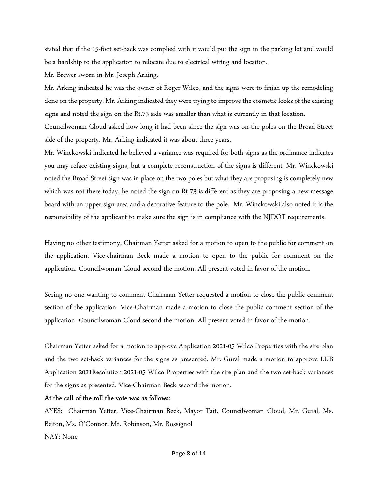stated that if the 15-foot set-back was complied with it would put the sign in the parking lot and would be a hardship to the application to relocate due to electrical wiring and location.

Mr. Brewer sworn in Mr. Joseph Arking.

Mr. Arking indicated he was the owner of Roger Wilco, and the signs were to finish up the remodeling done on the property. Mr. Arking indicated they were trying to improve the cosmetic looks of the existing signs and noted the sign on the Rt.73 side was smaller than what is currently in that location.

Councilwoman Cloud asked how long it had been since the sign was on the poles on the Broad Street side of the property. Mr. Arking indicated it was about three years.

Mr. Winckowski indicated he believed a variance was required for both signs as the ordinance indicates you may reface existing signs, but a complete reconstruction of the signs is different. Mr. Winckowski noted the Broad Street sign was in place on the two poles but what they are proposing is completely new which was not there today, he noted the sign on Rt 73 is different as they are proposing a new message board with an upper sign area and a decorative feature to the pole. Mr. Winckowski also noted it is the responsibility of the applicant to make sure the sign is in compliance with the NJDOT requirements.

Having no other testimony, Chairman Yetter asked for a motion to open to the public for comment on the application. Vice-chairman Beck made a motion to open to the public for comment on the application. Councilwoman Cloud second the motion. All present voted in favor of the motion.

Seeing no one wanting to comment Chairman Yetter requested a motion to close the public comment section of the application. Vice-Chairman made a motion to close the public comment section of the application. Councilwoman Cloud second the motion. All present voted in favor of the motion.

Chairman Yetter asked for a motion to approve Application 2021-05 Wilco Properties with the site plan and the two set-back variances for the signs as presented. Mr. Gural made a motion to approve LUB Application 2021Resolution 2021-05 Wilco Properties with the site plan and the two set-back variances for the signs as presented. Vice-Chairman Beck second the motion.

## At the call of the roll the vote was as follows:

AYES: Chairman Yetter, Vice-Chairman Beck, Mayor Tait, Councilwoman Cloud, Mr. Gural, Ms. Belton, Ms. O'Connor, Mr. Robinson, Mr. Rossignol NAY: None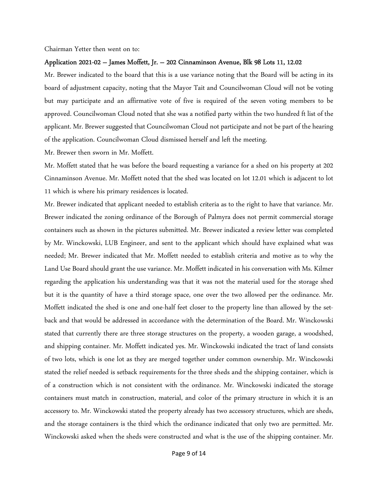Chairman Yetter then went on to:

#### Application 2021-02 – James Moffett, Jr. – 202 Cinnaminson Avenue, Blk 98 Lots 11, 12.02

Mr. Brewer indicated to the board that this is a use variance noting that the Board will be acting in its board of adjustment capacity, noting that the Mayor Tait and Councilwoman Cloud will not be voting but may participate and an affirmative vote of five is required of the seven voting members to be approved. Councilwoman Cloud noted that she was a notified party within the two hundred ft list of the applicant. Mr. Brewer suggested that Councilwoman Cloud not participate and not be part of the hearing of the application. Councilwoman Cloud dismissed herself and left the meeting.

Mr. Brewer then sworn in Mr. Moffett.

Mr. Moffett stated that he was before the board requesting a variance for a shed on his property at 202 Cinnaminson Avenue. Mr. Moffett noted that the shed was located on lot 12.01 which is adjacent to lot 11 which is where his primary residences is located.

Mr. Brewer indicated that applicant needed to establish criteria as to the right to have that variance. Mr. Brewer indicated the zoning ordinance of the Borough of Palmyra does not permit commercial storage containers such as shown in the pictures submitted. Mr. Brewer indicated a review letter was completed by Mr. Winckowski, LUB Engineer, and sent to the applicant which should have explained what was needed; Mr. Brewer indicated that Mr. Moffett needed to establish criteria and motive as to why the Land Use Board should grant the use variance. Mr. Moffett indicated in his conversation with Ms. Kilmer regarding the application his understanding was that it was not the material used for the storage shed but it is the quantity of have a third storage space, one over the two allowed per the ordinance. Mr. Moffett indicated the shed is one and one-half feet closer to the property line than allowed by the setback and that would be addressed in accordance with the determination of the Board. Mr. Winckowski stated that currently there are three storage structures on the property, a wooden garage, a woodshed, and shipping container. Mr. Moffett indicated yes. Mr. Winckowski indicated the tract of land consists of two lots, which is one lot as they are merged together under common ownership. Mr. Winckowski stated the relief needed is setback requirements for the three sheds and the shipping container, which is of a construction which is not consistent with the ordinance. Mr. Winckowski indicated the storage containers must match in construction, material, and color of the primary structure in which it is an accessory to. Mr. Winckowski stated the property already has two accessory structures, which are sheds, and the storage containers is the third which the ordinance indicated that only two are permitted. Mr. Winckowski asked when the sheds were constructed and what is the use of the shipping container. Mr.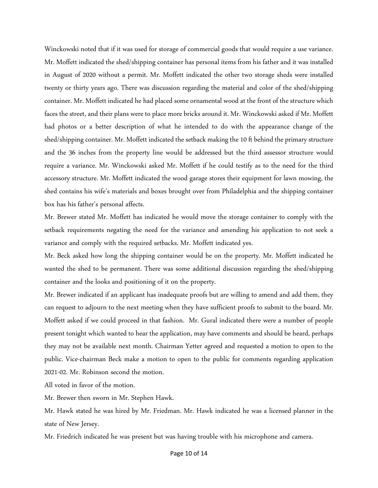Winckowski noted that if it was used for storage of commercial goods that would require a use variance. Mr. Moffett indicated the shed/shipping container has personal items from his father and it was installed in August of 2020 without a permit. Mr. Moffett indicated the other two storage sheds were installed twenty or thirty years ago. There was discussion regarding the material and color of the shed/shipping container. Mr. Moffett indicated he had placed some ornamental wood at the front of the structure which faces the street, and their plans were to place more bricks around it. Mr. Winckowski asked if Mr. Moffett had photos or a better description of what he intended to do with the appearance change of the shed/shipping container. Mr. Moffett indicated the setback making the 10 ft behind the primary structure and the 36 inches from the property line would be addressed but the third assessor structure would require a variance. Mr. Winckowski asked Mr. Moffett if he could testify as to the need for the third accessory structure. Mr. Moffett indicated the wood garage stores their equipment for lawn mowing, the shed contains his wife's materials and boxes brought over from Philadelphia and the shipping container box has his father's personal affects.

Mr. Brewer stated Mr. Moffett has indicated he would move the storage container to comply with the setback requirements negating the need for the variance and amending his application to not seek a variance and comply with the required setbacks. Mr. Moffett indicated yes.

Mr. Beck asked how long the shipping container would be on the property. Mr. Moffett indicated he wanted the shed to be permanent. There was some additional discussion regarding the shed/shipping container and the looks and positioning of it on the property.

Mr. Brewer indicated if an applicant has inadequate proofs but are willing to amend and add them, they can request to adjourn to the next meeting when they have sufficient proofs to submit to the board. Mr. Moffett asked if we could proceed in that fashion. Mr. Gural indicated there were a number of people present tonight which wanted to hear the application, may have comments and should be heard, perhaps they may not be available next month. Chairman Yetter agreed and requested a motion to open to the public. Vice-chairman Beck make a motion to open to the public for comments regarding application 2021-02. Mr. Robinson second the motion.

All voted in favor of the motion.

Mr. Brewer then sworn in Mr. Stephen Hawk.

Mr. Hawk stated he was hired by Mr. Friedman. Mr. Hawk indicated he was a licensed planner in the state of New Jersey.

Mr. Friedrich indicated he was present but was having trouble with his microphone and camera.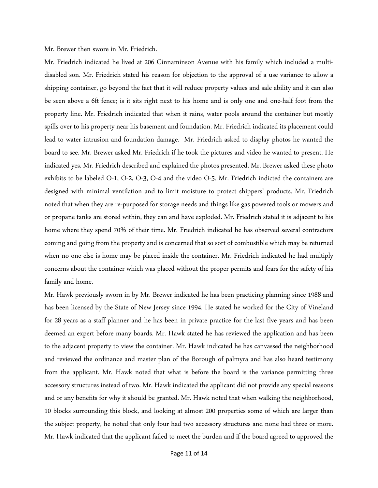Mr. Brewer then swore in Mr. Friedrich.

Mr. Friedrich indicated he lived at 206 Cinnaminson Avenue with his family which included a multidisabled son. Mr. Friedrich stated his reason for objection to the approval of a use variance to allow a shipping container, go beyond the fact that it will reduce property values and sale ability and it can also be seen above a 6ft fence; is it sits right next to his home and is only one and one-half foot from the property line. Mr. Friedrich indicated that when it rains, water pools around the container but mostly spills over to his property near his basement and foundation. Mr. Friedrich indicated its placement could lead to water intrusion and foundation damage. Mr. Friedrich asked to display photos he wanted the board to see. Mr. Brewer asked Mr. Friedrich if he took the pictures and video he wanted to present. He indicated yes. Mr. Friedrich described and explained the photos presented. Mr. Brewer asked these photo exhibits to be labeled O-1, O-2, O-3, O-4 and the video O-5. Mr. Friedrich indicted the containers are designed with minimal ventilation and to limit moisture to protect shippers' products. Mr. Friedrich noted that when they are re-purposed for storage needs and things like gas powered tools or mowers and or propane tanks are stored within, they can and have exploded. Mr. Friedrich stated it is adjacent to his home where they spend 70% of their time. Mr. Friedrich indicated he has observed several contractors coming and going from the property and is concerned that so sort of combustible which may be returned when no one else is home may be placed inside the container. Mr. Friedrich indicated he had multiply concerns about the container which was placed without the proper permits and fears for the safety of his family and home.

Mr. Hawk previously sworn in by Mr. Brewer indicated he has been practicing planning since 1988 and has been licensed by the State of New Jersey since 1994. He stated he worked for the City of Vineland for 28 years as a staff planner and he has been in private practice for the last five years and has been deemed an expert before many boards. Mr. Hawk stated he has reviewed the application and has been to the adjacent property to view the container. Mr. Hawk indicated he has canvassed the neighborhood and reviewed the ordinance and master plan of the Borough of palmyra and has also heard testimony from the applicant. Mr. Hawk noted that what is before the board is the variance permitting three accessory structures instead of two. Mr. Hawk indicated the applicant did not provide any special reasons and or any benefits for why it should be granted. Mr. Hawk noted that when walking the neighborhood, 10 blocks surrounding this block, and looking at almost 200 properties some of which are larger than the subject property, he noted that only four had two accessory structures and none had three or more. Mr. Hawk indicated that the applicant failed to meet the burden and if the board agreed to approved the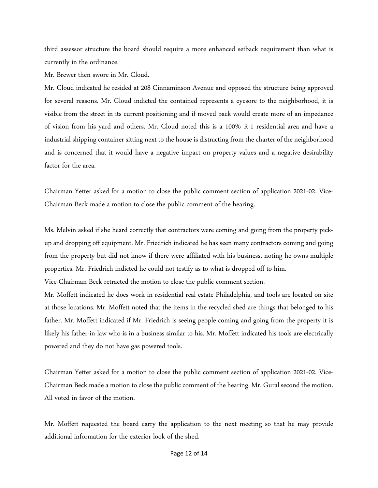third assessor structure the board should require a more enhanced setback requirement than what is currently in the ordinance.

Mr. Brewer then swore in Mr. Cloud.

Mr. Cloud indicated he resided at 208 Cinnaminson Avenue and opposed the structure being approved for several reasons. Mr. Cloud indicted the contained represents a eyesore to the neighborhood, it is visible from the street in its current positioning and if moved back would create more of an impedance of vision from his yard and others. Mr. Cloud noted this is a 100% R-1 residential area and have a industrial shipping container sitting next to the house is distracting from the charter of the neighborhood and is concerned that it would have a negative impact on property values and a negative desirability factor for the area.

Chairman Yetter asked for a motion to close the public comment section of application 2021-02. Vice-Chairman Beck made a motion to close the public comment of the hearing.

Ms. Melvin asked if she heard correctly that contractors were coming and going from the property pickup and dropping off equipment. Mr. Friedrich indicated he has seen many contractors coming and going from the property but did not know if there were affiliated with his business, noting he owns multiple properties. Mr. Friedrich indicted he could not testify as to what is dropped off to him.

Vice-Chairman Beck retracted the motion to close the public comment section.

Mr. Moffett indicated he does work in residential real estate Philadelphia, and tools are located on site at those locations. Mr. Moffett noted that the items in the recycled shed are things that belonged to his father. Mr. Moffett indicated if Mr. Friedrich is seeing people coming and going from the property it is likely his father-in-law who is in a business similar to his. Mr. Moffett indicated his tools are electrically powered and they do not have gas powered tools.

Chairman Yetter asked for a motion to close the public comment section of application 2021-02. Vice-Chairman Beck made a motion to close the public comment of the hearing. Mr. Gural second the motion. All voted in favor of the motion.

Mr. Moffett requested the board carry the application to the next meeting so that he may provide additional information for the exterior look of the shed.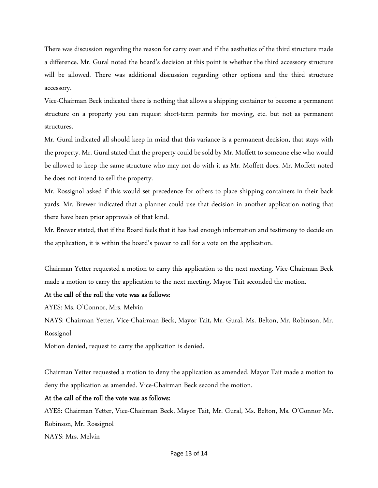There was discussion regarding the reason for carry over and if the aesthetics of the third structure made a difference. Mr. Gural noted the board's decision at this point is whether the third accessory structure will be allowed. There was additional discussion regarding other options and the third structure accessory.

Vice-Chairman Beck indicated there is nothing that allows a shipping container to become a permanent structure on a property you can request short-term permits for moving, etc. but not as permanent structures.

Mr. Gural indicated all should keep in mind that this variance is a permanent decision, that stays with the property. Mr. Gural stated that the property could be sold by Mr. Moffett to someone else who would be allowed to keep the same structure who may not do with it as Mr. Moffett does. Mr. Moffett noted he does not intend to sell the property.

Mr. Rossignol asked if this would set precedence for others to place shipping containers in their back yards. Mr. Brewer indicated that a planner could use that decision in another application noting that there have been prior approvals of that kind.

Mr. Brewer stated, that if the Board feels that it has had enough information and testimony to decide on the application, it is within the board's power to call for a vote on the application.

Chairman Yetter requested a motion to carry this application to the next meeting. Vice-Chairman Beck made a motion to carry the application to the next meeting. Mayor Tait seconded the motion.

## At the call of the roll the vote was as follows:

AYES: Ms. O'Connor, Mrs. Melvin

NAYS: Chairman Yetter, Vice-Chairman Beck, Mayor Tait, Mr. Gural, Ms. Belton, Mr. Robinson, Mr. Rossignol

Motion denied, request to carry the application is denied.

Chairman Yetter requested a motion to deny the application as amended. Mayor Tait made a motion to deny the application as amended. Vice-Chairman Beck second the motion.

## At the call of the roll the vote was as follows:

AYES: Chairman Yetter, Vice-Chairman Beck, Mayor Tait, Mr. Gural, Ms. Belton, Ms. O'Connor Mr. Robinson, Mr. Rossignol NAYS: Mrs. Melvin